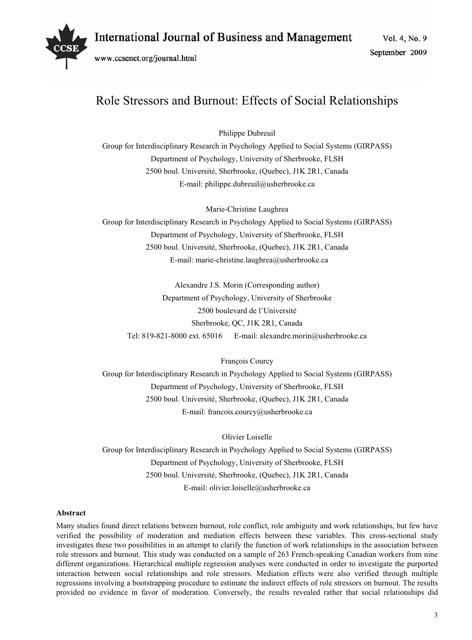

www.ccsenet.org/journal.html

September 2009

# Role Stressors and Burnout: Effects of Social Relationships

Philippe Dubreuil

Group for Interdisciplinary Research in Psychology Applied to Social Systems (GIRPASS) Department of Psychology, University of Sherbrooke, FLSH 2500 boul. Université, Sherbrooke, (Quebec), J1K 2R1, Canada E-mail: philippe.dubreuil@usherbrooke.ca

Marie-Christine Laughrea

Group for Interdisciplinary Research in Psychology Applied to Social Systems (GIRPASS) Department of Psychology, University of Sherbrooke, FLSH 2500 boul. Université, Sherbrooke, (Quebec), J1K 2R1, Canada E-mail: marie-christine.laughrea@usherbrooke.ca

Alexandre J.S. Morin (Corresponding author) Department of Psychology, University of Sherbrooke 2500 boulevard de l'Université Sherbrooke, QC, J1K 2R1, Canada Tel: 819-821-8000 ext. 65016 E-mail: alexandre.morin@usherbrooke.ca

François Courcy Group for Interdisciplinary Research in Psychology Applied to Social Systems (GIRPASS) Department of Psychology, University of Sherbrooke, FLSH 2500 boul. Université, Sherbrooke, (Quebec), J1K 2R1, Canada E-mail: francois.courcy@usherbrooke.ca

Olivier Loiselle

Group for Interdisciplinary Research in Psychology Applied to Social Systems (GIRPASS) Department of Psychology, University of Sherbrooke, FLSH 2500 boul. Université, Sherbrooke, (Quebec), J1K 2R1, Canada E-mail: olivier.loiselle@usherbrooke.ca

## **Abstract**

Many studies found direct relations between burnout, role conflict, role ambiguity and work relationships, but few have verified the possibility of moderation and mediation effects between these variables. This cross-sectional study investigates these two possibilities in an attempt to clarify the function of work relationships in the association between role stressors and burnout. This study was conducted on a sample of 263 French-speaking Canadian workers from nine different organizations. Hierarchical multiple regression analyses were conducted in order to investigate the purported interaction between social relationships and role stressors. Mediation effects were also verified through multiple regressions involving a bootstrapping procedure to estimate the indirect effects of role stressors on burnout. The results provided no evidence in favor of moderation. Conversely, the results revealed rather that social relationships did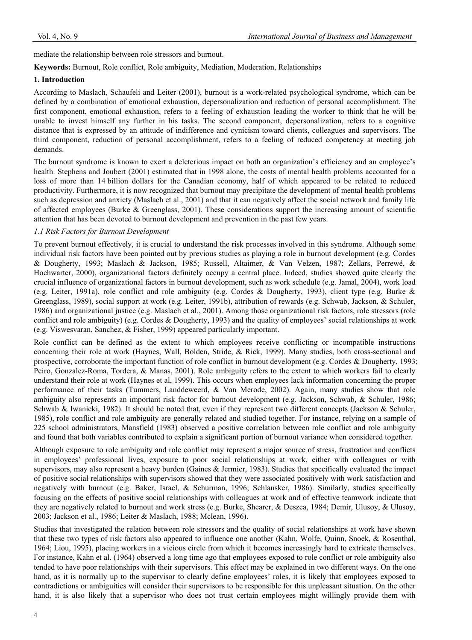mediate the relationship between role stressors and burnout.

**Keywords:** Burnout, Role conflict, Role ambiguity, Mediation, Moderation, Relationships

# **1. Introduction**

According to Maslach, Schaufeli and Leiter (2001), burnout is a work-related psychological syndrome, which can be defined by a combination of emotional exhaustion, depersonalization and reduction of personal accomplishment. The first component, emotional exhaustion, refers to a feeling of exhaustion leading the worker to think that he will be unable to invest himself any further in his tasks. The second component, depersonalization, refers to a cognitive distance that is expressed by an attitude of indifference and cynicism toward clients, colleagues and supervisors. The third component, reduction of personal accomplishment, refers to a feeling of reduced competency at meeting job demands.

The burnout syndrome is known to exert a deleterious impact on both an organization's efficiency and an employee's health. Stephens and Joubert (2001) estimated that in 1998 alone, the costs of mental health problems accounted for a loss of more than 14 billion dollars for the Canadian economy, half of which appeared to be related to reduced productivity. Furthermore, it is now recognized that burnout may precipitate the development of mental health problems such as depression and anxiety (Maslach et al., 2001) and that it can negatively affect the social network and family life of affected employees (Burke & Greenglass, 2001). These considerations support the increasing amount of scientific attention that has been devoted to burnout development and prevention in the past few years.

# *1.1 Risk Factors for Burnout Development*

To prevent burnout effectively, it is crucial to understand the risk processes involved in this syndrome. Although some individual risk factors have been pointed out by previous studies as playing a role in burnout development (e.g. Cordes & Dougherty, 1993; Maslach & Jackson, 1985; Russell, Altaimer, & Van Velzen, 1987; Zellars, Perrewé, & Hochwarter, 2000), organizational factors definitely occupy a central place. Indeed, studies showed quite clearly the crucial influence of organizational factors in burnout development, such as work schedule (e.g. Jamal, 2004), work load (e.g. Leiter, 1991a), role conflict and role ambiguity (e.g. Cordes & Dougherty, 1993), client type (e.g. Burke & Greenglass, 1989), social support at work (e.g. Leiter, 1991b), attribution of rewards (e.g. Schwab, Jackson, & Schuler, 1986) and organizational justice (e.g. Maslach et al., 2001). Among those organizational risk factors, role stressors (role conflict and role ambiguity) (e.g. Cordes & Dougherty, 1993) and the quality of employees' social relationships at work (e.g. Viswesvaran, Sanchez, & Fisher, 1999) appeared particularly important.

Role conflict can be defined as the extent to which employees receive conflicting or incompatible instructions concerning their role at work (Haynes, Wall, Bolden, Stride, & Rick, 1999). Many studies, both cross-sectional and prospective, corroborate the important function of role conflict in burnout development (e.g. Cordes & Dougherty, 1993; Peiro, Gonzalez-Roma, Tordera, & Manas, 2001). Role ambiguity refers to the extent to which workers fail to clearly understand their role at work (Haynes et al, 1999). This occurs when employees lack information concerning the proper performance of their tasks (Tummers, Landdeweerd, & Van Merode, 2002). Again, many studies show that role ambiguity also represents an important risk factor for burnout development (e.g. Jackson, Schwab, & Schuler, 1986; Schwab & Iwanicki, 1982). It should be noted that, even if they represent two different concepts (Jackson & Schuler, 1985), role conflict and role ambiguity are generally related and studied together. For instance, relying on a sample of 225 school administrators, Mansfield (1983) observed a positive correlation between role conflict and role ambiguity and found that both variables contributed to explain a significant portion of burnout variance when considered together.

Although exposure to role ambiguity and role conflict may represent a major source of stress, frustration and conflicts in employees' professional lives, exposure to poor social relationships at work, either with colleagues or with supervisors, may also represent a heavy burden (Gaines & Jermier, 1983). Studies that specifically evaluated the impact of positive social relationships with supervisors showed that they were associated positively with work satisfaction and negatively with burnout (e.g. Baker, Israel, & Schurman, 1996; Schlansker, 1986). Similarly, studies specifically focusing on the effects of positive social relationships with colleagues at work and of effective teamwork indicate that they are negatively related to burnout and work stress (e.g. Burke, Shearer, & Deszca, 1984; Demir, Ulusoy, & Ulusoy, 2003; Jackson et al., 1986; Leiter & Maslach, 1988; Mclean, 1996).

Studies that investigated the relation between role stressors and the quality of social relationships at work have shown that these two types of risk factors also appeared to influence one another (Kahn, Wolfe, Quinn, Snoek, & Rosenthal, 1964; Liou, 1995), placing workers in a vicious circle from which it becomes increasingly hard to extricate themselves. For instance, Kahn et al. (1964) observed a long time ago that employees exposed to role conflict or role ambiguity also tended to have poor relationships with their supervisors. This effect may be explained in two different ways. On the one hand, as it is normally up to the supervisor to clearly define employees' roles, it is likely that employees exposed to contradictions or ambiguities will consider their supervisors to be responsible for this unpleasant situation. On the other hand, it is also likely that a supervisor who does not trust certain employees might willingly provide them with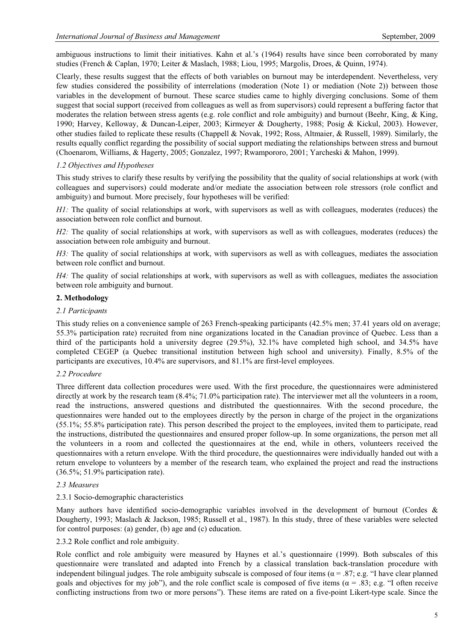ambiguous instructions to limit their initiatives. Kahn et al.'s (1964) results have since been corroborated by many studies (French & Caplan, 1970; Leiter & Maslach, 1988; Liou, 1995; Margolis, Droes, & Quinn, 1974).

Clearly, these results suggest that the effects of both variables on burnout may be interdependent. Nevertheless, very few studies considered the possibility of interrelations (moderation (Note 1) or mediation (Note 2)) between those variables in the development of burnout. These scarce studies came to highly diverging conclusions. Some of them suggest that social support (received from colleagues as well as from supervisors) could represent a buffering factor that moderates the relation between stress agents (e.g. role conflict and role ambiguity) and burnout (Beehr, King, & King, 1990; Harvey, Kelloway, & Duncan-Leiper, 2003; Kirmeyer & Dougherty, 1988; Posig & Kickul, 2003). However, other studies failed to replicate these results (Chappell & Novak, 1992; Ross, Altmaier, & Russell, 1989). Similarly, the results equally conflict regarding the possibility of social support mediating the relationships between stress and burnout (Choenarom, Williams, & Hagerty, 2005; Gonzalez, 1997; Rwampororo, 2001; Yarcheski & Mahon, 1999).

# *1.2 Objectives and Hypotheses*

This study strives to clarify these results by verifying the possibility that the quality of social relationships at work (with colleagues and supervisors) could moderate and/or mediate the association between role stressors (role conflict and ambiguity) and burnout. More precisely, four hypotheses will be verified:

*H1*: The quality of social relationships at work, with supervisors as well as with colleagues, moderates (reduces) the association between role conflict and burnout.

*H2*: The quality of social relationships at work, with supervisors as well as with colleagues, moderates (reduces) the association between role ambiguity and burnout.

*H3*: The quality of social relationships at work, with supervisors as well as with colleagues, mediates the association between role conflict and burnout.

*H4:* The quality of social relationships at work, with supervisors as well as with colleagues, mediates the association between role ambiguity and burnout.

# **2. Methodology**

## *2.1 Participants*

This study relies on a convenience sample of 263 French-speaking participants (42.5% men; 37.41 years old on average; 55.3% participation rate) recruited from nine organizations located in the Canadian province of Quebec. Less than a third of the participants hold a university degree (29.5%), 32.1% have completed high school, and 34.5% have completed CEGEP (a Quebec transitional institution between high school and university). Finally, 8.5% of the participants are executives, 10.4% are supervisors, and 81.1% are first-level employees.

## *2.2 Procedure*

Three different data collection procedures were used. With the first procedure, the questionnaires were administered directly at work by the research team (8.4%; 71.0% participation rate). The interviewer met all the volunteers in a room, read the instructions, answered questions and distributed the questionnaires. With the second procedure, the questionnaires were handed out to the employees directly by the person in charge of the project in the organizations (55.1%; 55.8% participation rate). This person described the project to the employees, invited them to participate, read the instructions, distributed the questionnaires and ensured proper follow-up. In some organizations, the person met all the volunteers in a room and collected the questionnaires at the end, while in others, volunteers received the questionnaires with a return envelope. With the third procedure, the questionnaires were individually handed out with a return envelope to volunteers by a member of the research team, who explained the project and read the instructions (36.5%; 51.9% participation rate).

## *2.3 Measures*

## 2.3.1 Socio-demographic characteristics

Many authors have identified socio-demographic variables involved in the development of burnout (Cordes & Dougherty, 1993; Maslach & Jackson, 1985; Russell et al., 1987). In this study, three of these variables were selected for control purposes: (a) gender, (b) age and (c) education.

## 2.3.2 Role conflict and role ambiguity.

Role conflict and role ambiguity were measured by Haynes et al.'s questionnaire (1999). Both subscales of this questionnaire were translated and adapted into French by a classical translation back-translation procedure with independent bilingual judges. The role ambiguity subscale is composed of four items ( $\alpha = .87$ ; e.g. "I have clear planned goals and objectives for my job"), and the role conflict scale is composed of five items ( $\alpha = .83$ ; e.g. "I often receive conflicting instructions from two or more persons"). These items are rated on a five-point Likert-type scale. Since the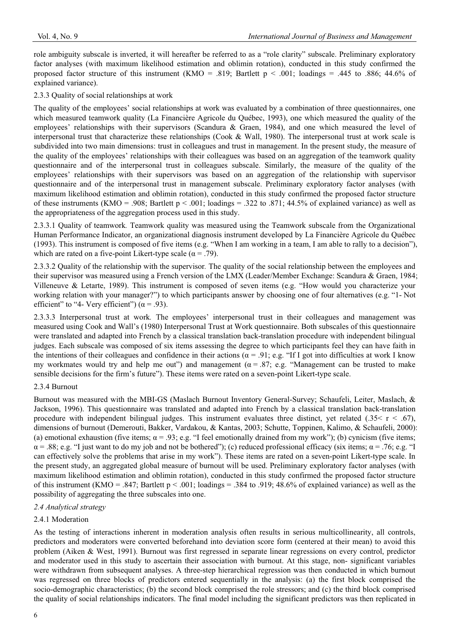role ambiguity subscale is inverted, it will hereafter be referred to as a "role clarity" subscale. Preliminary exploratory factor analyses (with maximum likelihood estimation and oblimin rotation), conducted in this study confirmed the proposed factor structure of this instrument (KMO = .819; Bartlett  $p < .001$ ; loadings = .445 to .886; 44.6% of explained variance).

2.3.3 Quality of social relationships at work

The quality of the employees' social relationships at work was evaluated by a combination of three questionnaires, one which measured teamwork quality (La Financière Agricole du Québec, 1993), one which measured the quality of the employees' relationships with their supervisors (Scandura & Graen, 1984), and one which measured the level of interpersonal trust that characterize these relationships (Cook & Wall, 1980). The interpersonal trust at work scale is subdivided into two main dimensions: trust in colleagues and trust in management. In the present study, the measure of the quality of the employees' relationships with their colleagues was based on an aggregation of the teamwork quality questionnaire and of the interpersonal trust in colleagues subscale. Similarly, the measure of the quality of the employees' relationships with their supervisors was based on an aggregation of the relationship with supervisor questionnaire and of the interpersonal trust in management subscale. Preliminary exploratory factor analyses (with maximum likelihood estimation and oblimin rotation), conducted in this study confirmed the proposed factor structure of these instruments (KMO = .908; Bartlett  $p < .001$ ; loadings = .322 to .871; 44.5% of explained variance) as well as the appropriateness of the aggregation process used in this study.

2.3.3.1 Quality of teamwork*.* Teamwork quality was measured using the Teamwork subscale from the Organizational Human Performance Indicator, an organizational diagnosis instrument developed by La Financière Agricole du Québec (1993). This instrument is composed of five items (e.g. "When I am working in a team, I am able to rally to a decision"), which are rated on a five-point Likert-type scale ( $\alpha = .79$ ).

2.3.3.2 Quality of the relationship with the supervisor*.* The quality of the social relationship between the employees and their supervisor was measured using a French version of the LMX (Leader/Member Exchange: Scandura & Graen, 1984; Villeneuve & Letarte, 1989). This instrument is composed of seven items (e.g. "How would you characterize your working relation with your manager?") to which participants answer by choosing one of four alternatives (e.g. "1- Not efficient" to "4- Very efficient") ( $\alpha$  = .93).

2.3.3.3 Interpersonal trust at work*.* The employees' interpersonal trust in their colleagues and management was measured using Cook and Wall's (1980) Interpersonal Trust at Work questionnaire. Both subscales of this questionnaire were translated and adapted into French by a classical translation back-translation procedure with independent bilingual judges. Each subscale was composed of six items assessing the degree to which participants feel they can have faith in the intentions of their colleagues and confidence in their actions ( $\alpha = .91$ ; e.g. "If I got into difficulties at work I know my workmates would try and help me out") and management ( $\alpha = .87$ ; e.g. "Management can be trusted to make sensible decisions for the firm's future"). These items were rated on a seven-point Likert-type scale.

# 2.3.4 Burnout

Burnout was measured with the MBI-GS (Maslach Burnout Inventory General-Survey; Schaufeli, Leiter, Maslach, & Jackson, 1996). This questionnaire was translated and adapted into French by a classical translation back-translation procedure with independent bilingual judges. This instrument evaluates three distinct, yet related (.35<  $r < .67$ ), dimensions of burnout (Demerouti, Bakker, Vardakou, & Kantas, 2003; Schutte, Toppinen, Kalimo, & Schaufeli, 2000): (a) emotional exhaustion (five items;  $\alpha = .93$ ; e.g. "I feel emotionally drained from my work"); (b) cynicism (five items;  $\alpha$  = .88; e.g. "I just want to do my job and not be bothered"); (c) reduced professional efficacy (six items;  $\alpha$  = .76; e.g. "I can effectively solve the problems that arise in my work"). These items are rated on a seven-point Likert-type scale. In the present study, an aggregated global measure of burnout will be used. Preliminary exploratory factor analyses (with maximum likelihood estimation and oblimin rotation), conducted in this study confirmed the proposed factor structure of this instrument (KMO = .847; Bartlett  $p < .001$ ; loadings = .384 to .919; 48.6% of explained variance) as well as the possibility of aggregating the three subscales into one.

## *2.4 Analytical strategy*

# 2.4.1 Moderation

As the testing of interactions inherent in moderation analysis often results in serious multicollinearity, all controls, predictors and moderators were converted beforehand into deviation score form (centered at their mean) to avoid this problem (Aiken & West, 1991). Burnout was first regressed in separate linear regressions on every control, predictor and moderator used in this study to ascertain their association with burnout. At this stage, non- significant variables were withdrawn from subsequent analyses. A three-step hierarchical regression was then conducted in which burnout was regressed on three blocks of predictors entered sequentially in the analysis: (a) the first block comprised the socio-demographic characteristics; (b) the second block comprised the role stressors; and (c) the third block comprised the quality of social relationships indicators. The final model including the significant predictors was then replicated in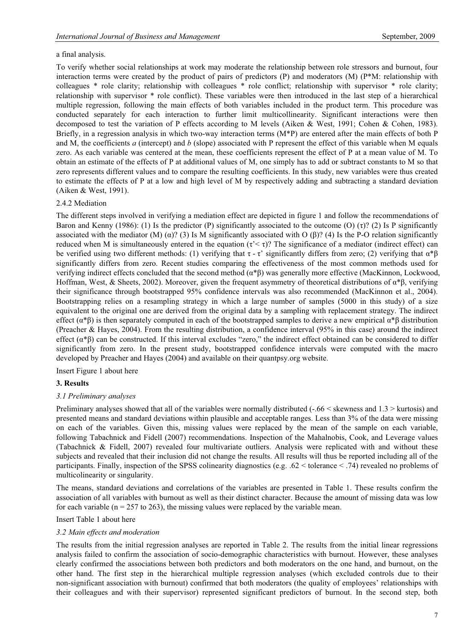#### a final analysis.

To verify whether social relationships at work may moderate the relationship between role stressors and burnout, four interaction terms were created by the product of pairs of predictors (P) and moderators (M) (P\*M: relationship with colleagues \* role clarity; relationship with colleagues \* role conflict; relationship with supervisor \* role clarity; relationship with supervisor \* role conflict). These variables were then introduced in the last step of a hierarchical multiple regression, following the main effects of both variables included in the product term. This procedure was conducted separately for each interaction to further limit multicollinearity. Significant interactions were then decomposed to test the variation of P effects according to M levels (Aiken & West, 1991; Cohen & Cohen, 1983). Briefly, in a regression analysis in which two-way interaction terms (M\*P) are entered after the main effects of both P and M, the coefficients *a* (intercept) and *b* (slope) associated with P represent the effect of this variable when M equals zero. As each variable was centered at the mean, these coefficients represent the effect of P at a mean value of M. To obtain an estimate of the effects of P at additional values of M, one simply has to add or subtract constants to M so that zero represents different values and to compare the resulting coefficients. In this study, new variables were thus created to estimate the effects of P at a low and high level of M by respectively adding and subtracting a standard deviation (Aiken & West, 1991).

#### 2.4.2 Mediation

The different steps involved in verifying a mediation effect are depicted in figure 1 and follow the recommendations of Baron and Kenny (1986): (1) Is the predictor (P) significantly associated to the outcome (O) ( $\tau$ )? (2) Is P significantly associated with the mediator (M) ( $\alpha$ )? (3) Is M significantly associated with O ( $\beta$ )? (4) Is the P-O relation significantly reduced when M is simultaneously entered in the equation  $(\tau<\tau)$ ? The significance of a mediator (indirect effect) can be verified using two different methods: (1) verifying that  $\tau$  -  $\tau'$  significantly differs from zero; (2) verifying that  $\alpha^* \beta$ significantly differs from zero. Recent studies comparing the effectiveness of the most common methods used for verifying indirect effects concluded that the second method  $(\alpha^*\beta)$  was generally more effective (MacKinnon, Lockwood, Hoffman, West, & Sheets, 2002). Moreover, given the frequent asymmetry of theoretical distributions of  $\alpha^*\beta$ , verifying their significance through bootstrapped 95% confidence intervals was also recommended (MacKinnon et al., 2004). Bootstrapping relies on a resampling strategy in which a large number of samples (5000 in this study) of a size equivalent to the original one are derived from the original data by a sampling with replacement strategy. The indirect effect  $(\alpha^*\beta)$  is then separately computed in each of the bootstrapped samples to derive a new empirical  $\alpha^*\beta$  distribution (Preacher & Hayes, 2004). From the resulting distribution, a confidence interval (95% in this case) around the indirect effect  $(\alpha^*\beta)$  can be constructed. If this interval excludes "zero," the indirect effect obtained can be considered to differ significantly from zero. In the present study, bootstrapped confidence intervals were computed with the macro developed by Preacher and Hayes (2004) and available on their quantpsy.org website.

Insert Figure 1 about here

## **3. Results**

#### *3.1 Preliminary analyses*

Preliminary analyses showed that all of the variables were normally distributed (-.66 < skewness and 1.3 > kurtosis) and presented means and standard deviations within plausible and acceptable ranges. Less than 3% of the data were missing on each of the variables. Given this, missing values were replaced by the mean of the sample on each variable, following Tabachnick and Fidell (2007) recommendations. Inspection of the Mahalnobis, Cook, and Leverage values (Tabachnick & Fidell, 2007) revealed four multivariate outliers. Analysis were replicated with and without these subjects and revealed that their inclusion did not change the results. All results will thus be reported including all of the participants. Finally, inspection of the SPSS colinearity diagnostics (e.g. .62 < tolerance < .74) revealed no problems of multicolinearity or singularity.

The means, standard deviations and correlations of the variables are presented in Table 1. These results confirm the association of all variables with burnout as well as their distinct character. Because the amount of missing data was low for each variable ( $n = 257$  to 263), the missing values were replaced by the variable mean.

## Insert Table 1 about here

#### *3.2 Main effects and moderation*

The results from the initial regression analyses are reported in Table 2. The results from the initial linear regressions analysis failed to confirm the association of socio-demographic characteristics with burnout. However, these analyses clearly confirmed the associations between both predictors and both moderators on the one hand, and burnout, on the other hand. The first step in the hierarchical multiple regression analyses (which excluded controls due to their non-significant association with burnout) confirmed that both moderators (the quality of employees' relationships with their colleagues and with their supervisor) represented significant predictors of burnout. In the second step, both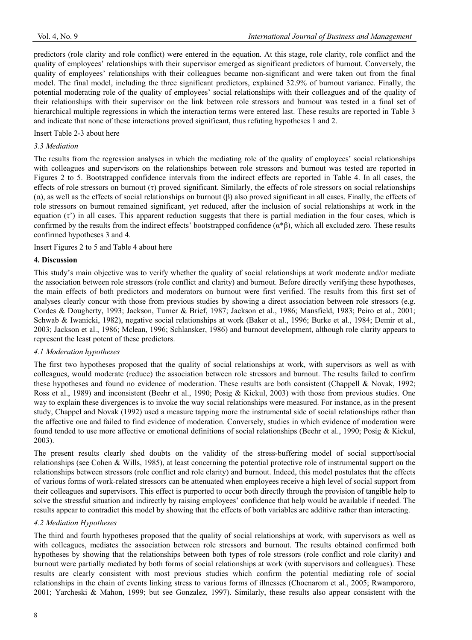predictors (role clarity and role conflict) were entered in the equation. At this stage, role clarity, role conflict and the quality of employees' relationships with their supervisor emerged as significant predictors of burnout. Conversely, the quality of employees' relationships with their colleagues became non-significant and were taken out from the final model. The final model, including the three significant predictors, explained 32.9% of burnout variance. Finally, the potential moderating role of the quality of employees' social relationships with their colleagues and of the quality of their relationships with their supervisor on the link between role stressors and burnout was tested in a final set of hierarchical multiple regressions in which the interaction terms were entered last. These results are reported in Table 3 and indicate that none of these interactions proved significant, thus refuting hypotheses 1 and 2.

Insert Table 2-3 about here

## *3.3 Mediation*

The results from the regression analyses in which the mediating role of the quality of employees' social relationships with colleagues and supervisors on the relationships between role stressors and burnout was tested are reported in Figures 2 to 5. Bootstrapped confidence intervals from the indirect effects are reported in Table 4. In all cases, the effects of role stressors on burnout  $(\tau)$  proved significant. Similarly, the effects of role stressors on social relationships  $(\alpha)$ , as well as the effects of social relationships on burnout  $(\beta)$  also proved significant in all cases. Finally, the effects of role stressors on burnout remained significant, yet reduced, after the inclusion of social relationships at work in the equation  $(\tau)$  in all cases. This apparent reduction suggests that there is partial mediation in the four cases, which is confirmed by the results from the indirect effects' bootstrapped confidence  $(\alpha^*\beta)$ , which all excluded zero. These results confirmed hypotheses 3 and 4.

## Insert Figures 2 to 5 and Table 4 about here

## **4. Discussion**

This study's main objective was to verify whether the quality of social relationships at work moderate and/or mediate the association between role stressors (role conflict and clarity) and burnout. Before directly verifying these hypotheses, the main effects of both predictors and moderators on burnout were first verified. The results from this first set of analyses clearly concur with those from previous studies by showing a direct association between role stressors (e.g. Cordes & Dougherty, 1993; Jackson, Turner & Brief, 1987; Jackson et al., 1986; Mansfield, 1983; Peiro et al., 2001; Schwab & Iwanicki, 1982), negative social relationships at work (Baker et al., 1996; Burke et al., 1984; Demir et al., 2003; Jackson et al., 1986; Mclean, 1996; Schlansker, 1986) and burnout development, although role clarity appears to represent the least potent of these predictors.

#### *4.1 Moderation hypotheses*

The first two hypotheses proposed that the quality of social relationships at work, with supervisors as well as with colleagues, would moderate (reduce) the association between role stressors and burnout. The results failed to confirm these hypotheses and found no evidence of moderation. These results are both consistent (Chappell & Novak, 1992; Ross et al., 1989) and inconsistent (Beehr et al., 1990; Posig & Kickul, 2003) with those from previous studies. One way to explain these divergences is to invoke the way social relationships were measured. For instance, as in the present study, Chappel and Novak (1992) used a measure tapping more the instrumental side of social relationships rather than the affective one and failed to find evidence of moderation. Conversely, studies in which evidence of moderation were found tended to use more affective or emotional definitions of social relationships (Beehr et al., 1990; Posig & Kickul, 2003).

The present results clearly shed doubts on the validity of the stress-buffering model of social support/social relationships (see Cohen & Wills, 1985), at least concerning the potential protective role of instrumental support on the relationships between stressors (role conflict and role clarity) and burnout. Indeed, this model postulates that the effects of various forms of work-related stressors can be attenuated when employees receive a high level of social support from their colleagues and supervisors. This effect is purported to occur both directly through the provision of tangible help to solve the stressful situation and indirectly by raising employees' confidence that help would be available if needed. The results appear to contradict this model by showing that the effects of both variables are additive rather than interacting.

## *4.2 Mediation Hypotheses*

The third and fourth hypotheses proposed that the quality of social relationships at work, with supervisors as well as with colleagues, mediates the association between role stressors and burnout. The results obtained confirmed both hypotheses by showing that the relationships between both types of role stressors (role conflict and role clarity) and burnout were partially mediated by both forms of social relationships at work (with supervisors and colleagues). These results are clearly consistent with most previous studies which confirm the potential mediating role of social relationships in the chain of events linking stress to various forms of illnesses (Choenarom et al., 2005; Rwampororo, 2001; Yarcheski & Mahon, 1999; but see Gonzalez, 1997). Similarly, these results also appear consistent with the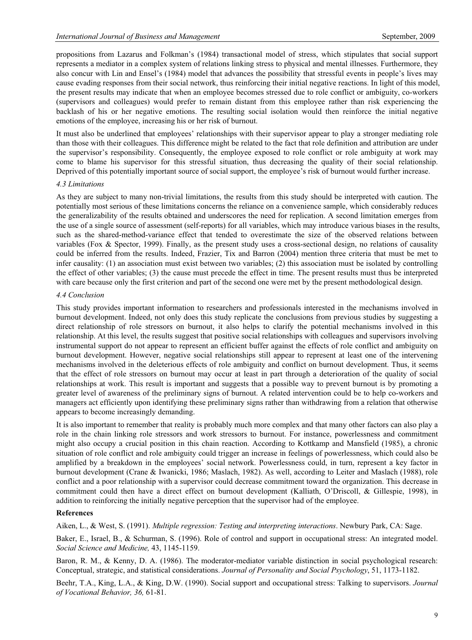propositions from Lazarus and Folkman's (1984) transactional model of stress, which stipulates that social support represents a mediator in a complex system of relations linking stress to physical and mental illnesses. Furthermore, they also concur with Lin and Ensel's (1984) model that advances the possibility that stressful events in people's lives may cause evading responses from their social network, thus reinforcing their initial negative reactions. In light of this model, the present results may indicate that when an employee becomes stressed due to role conflict or ambiguity, co-workers (supervisors and colleagues) would prefer to remain distant from this employee rather than risk experiencing the backlash of his or her negative emotions. The resulting social isolation would then reinforce the initial negative emotions of the employee, increasing his or her risk of burnout.

It must also be underlined that employees' relationships with their supervisor appear to play a stronger mediating role than those with their colleagues. This difference might be related to the fact that role definition and attribution are under the supervisor's responsibility. Consequently, the employee exposed to role conflict or role ambiguity at work may come to blame his supervisor for this stressful situation, thus decreasing the quality of their social relationship. Deprived of this potentially important source of social support, the employee's risk of burnout would further increase.

## *4.3 Limitations*

As they are subject to many non-trivial limitations, the results from this study should be interpreted with caution. The potentially most serious of these limitations concerns the reliance on a convenience sample, which considerably reduces the generalizability of the results obtained and underscores the need for replication. A second limitation emerges from the use of a single source of assessment (self-reports) for all variables, which may introduce various biases in the results, such as the shared-method-variance effect that tended to overestimate the size of the observed relations between variables (Fox & Spector, 1999). Finally, as the present study uses a cross-sectional design, no relations of causality could be inferred from the results. Indeed, Frazier, Tix and Barron (2004) mention three criteria that must be met to infer causality: (1) an association must exist between two variables; (2) this association must be isolated by controlling the effect of other variables; (3) the cause must precede the effect in time. The present results must thus be interpreted with care because only the first criterion and part of the second one were met by the present methodological design.

## *4.4 Conclusion*

This study provides important information to researchers and professionals interested in the mechanisms involved in burnout development. Indeed, not only does this study replicate the conclusions from previous studies by suggesting a direct relationship of role stressors on burnout, it also helps to clarify the potential mechanisms involved in this relationship. At this level, the results suggest that positive social relationships with colleagues and supervisors involving instrumental support do not appear to represent an efficient buffer against the effects of role conflict and ambiguity on burnout development. However, negative social relationships still appear to represent at least one of the intervening mechanisms involved in the deleterious effects of role ambiguity and conflict on burnout development. Thus, it seems that the effect of role stressors on burnout may occur at least in part through a deterioration of the quality of social relationships at work. This result is important and suggests that a possible way to prevent burnout is by promoting a greater level of awareness of the preliminary signs of burnout. A related intervention could be to help co-workers and managers act efficiently upon identifying these preliminary signs rather than withdrawing from a relation that otherwise appears to become increasingly demanding.

It is also important to remember that reality is probably much more complex and that many other factors can also play a role in the chain linking role stressors and work stressors to burnout. For instance, powerlessness and commitment might also occupy a crucial position in this chain reaction. According to Kottkamp and Mansfield (1985), a chronic situation of role conflict and role ambiguity could trigger an increase in feelings of powerlessness, which could also be amplified by a breakdown in the employees' social network. Powerlessness could, in turn, represent a key factor in burnout development (Crane & Iwanicki, 1986; Maslach, 1982). As well, according to Leiter and Maslach (1988), role conflict and a poor relationship with a supervisor could decrease commitment toward the organization. This decrease in commitment could then have a direct effect on burnout development (Kalliath, O'Driscoll, & Gillespie, 1998), in addition to reinforcing the initially negative perception that the supervisor had of the employee.

#### **References**

Aiken, L., & West, S. (1991). *Multiple regression: Testing and interpreting interactions*. Newbury Park, CA: Sage.

Baker, E., Israel, B., & Schurman, S. (1996). Role of control and support in occupational stress: An integrated model. *Social Science and Medicine,* 43, 1145-1159.

Baron, R. M., & Kenny, D. A. (1986). The moderator-mediator variable distinction in social psychological research: Conceptual, strategic, and statistical considerations. *Journal of Personality and Social Psychology*, 51, 1173-1182.

Beehr, T.A., King, L.A., & King, D.W. (1990). Social support and occupational stress: Talking to supervisors. *Journal of Vocational Behavior, 36,* 61-81.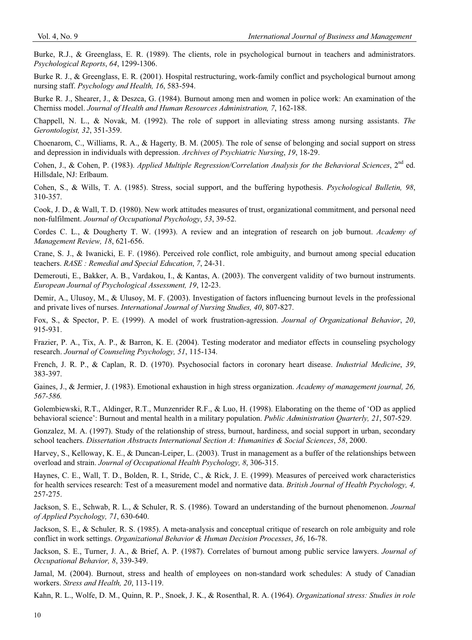Burke, R.J., & Greenglass, E. R. (1989). The clients, role in psychological burnout in teachers and administrators. *Psychological Reports*, *64*, 1299-1306.

Burke R. J., & Greenglass, E. R. (2001). Hospital restructuring, work-family conflict and psychological burnout among nursing staff. *Psychology and Health, 16*, 583-594.

Burke R. J., Shearer, J., & Deszca, G. (1984). Burnout among men and women in police work: An examination of the Cherniss model. *Journal of Health and Human Resources Administration, 7*, 162-188.

Chappell, N. L., & Novak, M. (1992). The role of support in alleviating stress among nursing assistants. *The Gerontologist, 32*, 351-359.

Choenarom, C., Williams, R. A., & Hagerty*,* B. M. (2005). The role of sense of belonging and social support on stress and depression in individuals with depression. *Archives of Psychiatric Nursing*, *19*, 18-29.

Cohen, J., & Cohen, P. (1983). *Applied Multiple Regression/Correlation Analysis for the Behavioral Sciences*, 2<sup>nd</sup> ed. Hillsdale, NJ: Erlbaum.

Cohen, S., & Wills, T. A. (1985). Stress, social support, and the buffering hypothesis. *Psychological Bulletin, 98*, 310-357.

Cook, J. D., & Wall, T. D. (1980). New work attitudes measures of trust, organizational commitment, and personal need non-fulfilment. *Journal of Occupational Psychology*, *53*, 39-52.

Cordes C. L., & Dougherty T. W. (1993). A review and an integration of research on job burnout. *Academy of Management Review, 18*, 621-656.

Crane, S. J., & Iwanicki, E. F. (1986). Perceived role conflict, role ambiguity, and burnout among special education teachers. *RASE : Remedial and Special Education*, *7*, 24-31.

Demerouti, E., Bakker, A. B., Vardakou, I., & Kantas, A. (2003). The convergent validity of two burnout instruments. *European Journal of Psychological Assessment, 19*, 12-23.

Demir, A., Ulusoy, M., & Ulusoy, M. F. (2003). Investigation of factors influencing burnout levels in the professional and private lives of nurses. *International Journal of Nursing Studies, 40*, 807-827.

Fox, S., & Spector, P. E. (1999). A model of work frustration-agression. *Journal of Organizational Behavior*, *20*, 915-931.

Frazier, P. A., Tix, A. P., & Barron, K. E. (2004). Testing moderator and mediator effects in counseling psychology research. *Journal of Counseling Psychology, 51*, 115-134.

French, J. R. P., & Caplan, R. D. (1970). Psychosocial factors in coronary heart disease. *Industrial Medicine*, *39*, 383-397.

Gaines, J., & Jermier, J. (1983). Emotional exhaustion in high stress organization. *Academy of management journal, 26, 567-586.*

Golembiewski, R.T., Aldinger, R.T., Munzenrider R.F., & Luo, H. (1998). Elaborating on the theme of 'OD as applied behavioral science': Burnout and mental health in a military population. *Public Administration Quarterly, 21*, 507-529.

Gonzalez, M. A. (1997). Study of the relationship of stress, burnout, hardiness, and social support in urban, secondary school teachers. *Dissertation Abstracts International Section A: Humanities & Social Sciences*, *58*, 2000.

Harvey, S., Kelloway, K. E., & Duncan-Leiper, L. (2003). Trust in management as a buffer of the relationships between overload and strain. *Journal of Occupational Health Psychology, 8*, 306-315.

Haynes, C. E., Wall, T. D., Bolden, R. I., Stride, C., & Rick, J. E. (1999). Measures of perceived work characteristics for health services research: Test of a measurement model and normative data. *British Journal of Health Psychology, 4,* 257-275.

Jackson, S. E., Schwab, R. L., & Schuler, R. S. (1986). Toward an understanding of the burnout phenomenon. *Journal of Applied Psychology, 71*, 630-640.

Jackson, S. E., & Schuler*,* R. S. (1985). A meta-analysis and conceptual critique of research on role ambiguity and role conflict in work settings. *Organizational Behavior & Human Decision Processes*, *36*, 16-78.

Jackson, S. E., Turner, J. A., & Brief, A. P. (1987). Correlates of burnout among public service lawyers. *Journal of Occupational Behavior, 8*, 339-349.

Jamal, M. (2004). Burnout, stress and health of employees on non-standard work schedules: A study of Canadian workers. *Stress and Health, 20*, 113-119.

Kahn, R. L., Wolfe, D. M., Quinn, R. P., Snoek, J. K., & Rosenthal, R. A. (1964). *Organizational stress: Studies in role*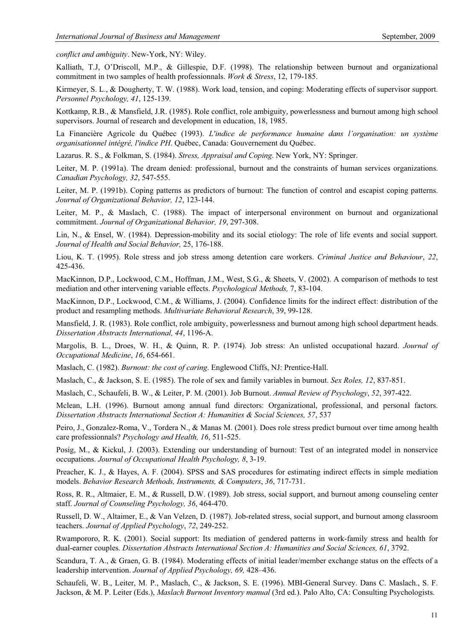*conflict and ambiguity*. New-York, NY: Wiley.

Kalliath, T.J, O'Driscoll, M.P., & Gillespie, D.F. (1998). The relationship between burnout and organizational commitment in two samples of health professionnals. *Work & Stress*, 12, 179-185.

Kirmeyer, S. L., & Dougherty, T. W. (1988). Work load, tension, and coping: Moderating effects of supervisor support. *Personnel Psychology, 41*, 125-139.

Kottkamp, R.B., & Mansfield, J.R. (1985). Role conflict, role ambiguity, powerlessness and burnout among high school supervisors. Journal of research and development in education, 18, 1985.

La Financière Agricole du Québec (1993). *L'indice de performance humaine dans l'organisation: un système organisationnel intégré, l'indice PH*. Québec, Canada: Gouvernement du Québec.

Lazarus. R. S., & Folkman, S. (1984). *Stress, Appraisal and Coping*. New York, NY: Springer.

Leiter, M. P. (1991a). The dream denied: professional, burnout and the constraints of human services organizations. *Canadian Psychology, 32*, 547-555.

Leiter, M. P. (1991b). Coping patterns as predictors of burnout: The function of control and escapist coping patterns. *Journal of Organizational Behavior, 12*, 123-144.

Leiter, M. P., & Maslach, C. (1988). The impact of interpersonal environment on burnout and organizational commitment. *Journal of Organizational Behavior, 19*, 297-308.

Lin, N., & Ensel, W. (1984). Depression-mobility and its social etiology: The role of life events and social support. *Journal of Health and Social Behavior,* 25, 176-188.

Liou, K. T. (1995). Role stress and job stress among detention care workers. *Criminal Justice and Behaviour*, *22*, 425-436.

MacKinnon, D.P., Lockwood, C.M., Hoffman, J.M., West, S.G., & Sheets, V. (2002). A comparison of methods to test mediation and other intervening variable effects. *Psychological Methods,* 7, 83-104.

MacKinnon, D.P., Lockwood, C.M., & Williams, J. (2004). Confidence limits for the indirect effect: distribution of the product and resampling methods. *Multivariate Behavioral Research*, 39, 99-128.

Mansfield, J. R. (1983). Role conflict, role ambiguity, powerlessness and burnout among high school department heads. *Dissertation Abstracts International, 44*, 1196-A.

Margolis, B. L., Droes, W. H., & Quinn, R. P. (1974). Job stress: An unlisted occupational hazard. *Journal of Occupational Medicine*, *16*, 654-661.

Maslach, C. (1982). *Burnout: the cost of caring*. Englewood Cliffs, NJ: Prentice-Hall.

Maslach, C., & Jackson, S. E. (1985). The role of sex and family variables in burnout. *Sex Roles, 12*, 837-851.

Maslach, C., Schaufeli, B. W., & Leiter, P. M. (2001). Job Burnout. *Annual Review of Psychology*, *52*, 397-422.

Mclean, L.H. (1996). Burnout among annual fund directors: Organizational, professional, and personal factors. *Dissertation Abstracts International Section A: Humanities & Social Sciences, 57*, 537

Peiro, J., Gonzalez-Roma, V., Tordera N., & Manas M. (2001). Does role stress predict burnout over time among health care professionnals? *Psychology and Health, 16*, 511-525.

Posig, M., & Kickul, J. (2003). Extending our understanding of burnout: Test of an integrated model in nonservice occupations. *Journal of Occupational Health Psychology, 8*, 3-19.

Preacher, K. J., & Hayes, A. F. (2004). SPSS and SAS procedures for estimating indirect effects in simple mediation models. *Behavior Research Methods, Instruments, & Computers*, *36*, 717-731.

Ross, R. R., Altmaier, E. M., & Russell, D.W. (1989). Job stress, social support, and burnout among counseling center staff. *Journal of Counseling Psychology, 36*, 464-470.

Russell, D. W., Altaimer, E., & Van Velzen, D. (1987). Job-related stress, social support, and burnout among classroom teachers. *Journal of Applied Psychology*, *72*, 249-252.

Rwampororo, R. K. (2001). Social support: Its mediation of gendered patterns in work-family stress and health for dual-earner couples. *Dissertation Abstracts International Section A: Humanities and Social Sciences, 61*, 3792.

Scandura, T. A., & Graen, G. B. (1984). Moderating effects of initial leader/member exchange status on the effects of a leadership intervention. *Journal of Applied Psychology, 69,* 428–436.

Schaufeli, W. B., Leiter, M. P., Maslach, C., & Jackson, S. E. (1996). MBI-General Survey. Dans C. Maslach., S. F. Jackson, & M. P. Leiter (Eds.), *Maslach Burnout Inventory manual* (3rd ed.). Palo Alto, CA: Consulting Psychologists.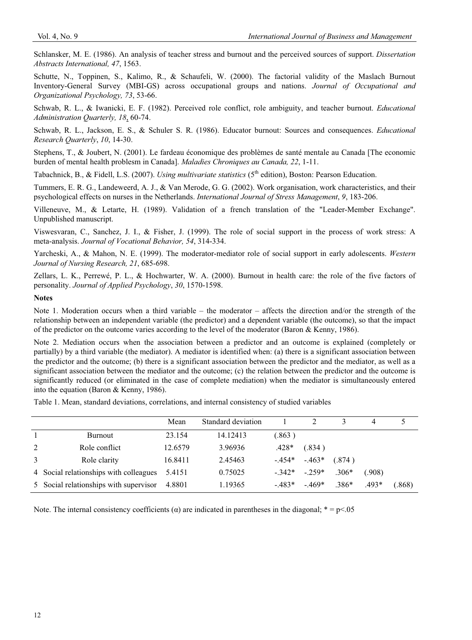Schlansker, M. E. (1986). An analysis of teacher stress and burnout and the perceived sources of support. *Dissertation Abstracts International, 47*, 1563.

Schutte, N., Toppinen, S., Kalimo, R., & Schaufeli, W. (2000). The factorial validity of the Maslach Burnout Inventory-General Survey (MBI-GS) across occupational groups and nations. *Journal of Occupational and Organizational Psychology, 73*, 53-66.

Schwab, R. L., & Iwanicki, E. F. (1982). Perceived role conflict, role ambiguity, and teacher burnout. *Educational Administration Quarterly, 18*, 60-74.

Schwab, R. L., Jackson, E. S., & Schuler S. R. (1986). Educator burnout: Sources and consequences. *Educational Research Quarterly*, *10*, 14-30.

Stephens, T., & Joubert, N. (2001). Le fardeau économique des problèmes de santé mentale au Canada [The economic burden of mental health problesm in Canada]. *Maladies Chroniques au Canada, 22*, 1-11.

Tabachnick, B., & Fidell, L.S. (2007). *Using multivariate statistics* (5<sup>th</sup> edition), Boston: Pearson Education.

Tummers, E. R. G., Landeweerd, A. J., & Van Merode, G. G. (2002). Work organisation, work characteristics, and their psychological effects on nurses in the Netherlands. *International Journal of Stress Management*, *9*, 183-206.

Villeneuve, M., & Letarte, H. (1989). Validation of a french translation of the "Leader-Member Exchange". Unpublished manuscript.

Viswesvaran, C., Sanchez, J. I., & Fisher, J. (1999). The role of social support in the process of work stress: A meta-analysis. *Journal of Vocational Behavior, 54*, 314-334.

Yarcheski, A., & Mahon, N. E. (1999). The moderator-mediator role of social support in early adolescents. *Western Journal of Nursing Research, 21*, 685-698.

Zellars, L. K., Perrewé, P. L., & Hochwarter, W. A. (2000). Burnout in health care: the role of the five factors of personality. *Journal of Applied Psychology*, *30*, 1570-1598.

## **Notes**

Note 1. Moderation occurs when a third variable – the moderator – affects the direction and/or the strength of the relationship between an independent variable (the predictor) and a dependent variable (the outcome), so that the impact of the predictor on the outcome varies according to the level of the moderator (Baron & Kenny, 1986).

Note 2. Mediation occurs when the association between a predictor and an outcome is explained (completely or partially) by a third variable (the mediator). A mediator is identified when: (a) there is a significant association between the predictor and the outcome; (b) there is a significant association between the predictor and the mediator, as well as a significant association between the mediator and the outcome; (c) the relation between the predictor and the outcome is significantly reduced (or eliminated in the case of complete mediation) when the mediator is simultaneously entered into the equation (Baron & Kenny, 1986).

Table 1. Mean, standard deviations, correlations, and internal consistency of studied variables

|   |                                        | Mean    | Standard deviation |         |           |         | 4       |       |
|---|----------------------------------------|---------|--------------------|---------|-----------|---------|---------|-------|
|   | Burnout                                | 23.154  | 14.12413           | (.863)  |           |         |         |       |
| 2 | Role conflict                          | 12.6579 | 3.96936            | $.428*$ | (.834)    |         |         |       |
| 3 | Role clarity                           | 16.8411 | 2.45463            | $-454*$ | $-0.463*$ | (.874)  |         |       |
|   | 4 Social relationships with colleagues | 5.4151  | 0.75025            | $-342*$ | $-259*$   | $.306*$ | (.908)  |       |
|   | 5 Social relationships with supervisor | 4.8801  | 1.19365            | $-483*$ | $-469*$   | $.386*$ | $.493*$ | 0.868 |
|   |                                        |         |                    |         |           |         |         |       |

Note. The internal consistency coefficients ( $\alpha$ ) are indicated in parentheses in the diagonal; \* = p<.05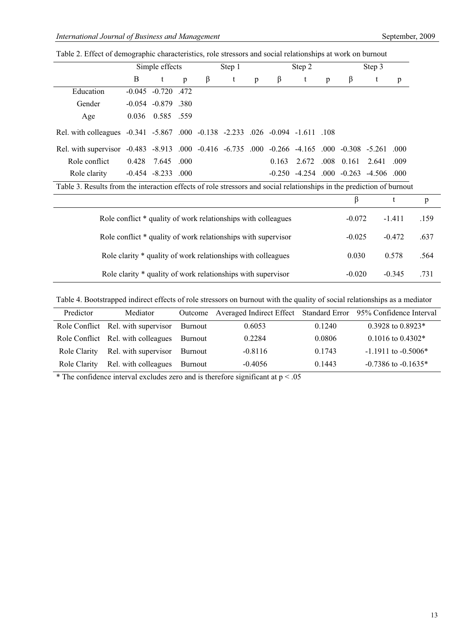|                                                                                                         |   | Simple effects           |   | Step 1 |   | Step 2 |       |                                                    | Step 3 |                        |  |      |
|---------------------------------------------------------------------------------------------------------|---|--------------------------|---|--------|---|--------|-------|----------------------------------------------------|--------|------------------------|--|------|
|                                                                                                         | B | t                        | p | β      | t | p      | β     | t                                                  | p      | β                      |  | p    |
| Education                                                                                               |   | $-0.045$ $-0.720$ $.472$ |   |        |   |        |       |                                                    |        |                        |  |      |
| Gender                                                                                                  |   | $-0.054$ $-0.879$ $.380$ |   |        |   |        |       |                                                    |        |                        |  |      |
| Age                                                                                                     |   | 0.036 0.585 .559         |   |        |   |        |       |                                                    |        |                        |  |      |
| Rel. with colleagues -0.341 -5.867 .000 -0.138 -2.233 .026 -0.094 -1.611 .108                           |   |                          |   |        |   |        |       |                                                    |        |                        |  |      |
| 000. 5.261 COD -0.308 -5.261 COD -0.483 -8.913 0.00 -0.416 -6.735 0.00 -0.266 -4.165 0.00 -0.308 -5.261 |   |                          |   |        |   |        |       |                                                    |        |                        |  |      |
| Role conflict                                                                                           |   | 0.428 7.645 .000         |   |        |   |        | 0.163 |                                                    |        | 2.672 .008 0.161 2.641 |  | .009 |
| Role clarity                                                                                            |   | $-0.454$ $-8.233$ .000   |   |        |   |        |       | $-0.250$ $-4.254$ $0.00$ $-0.263$ $-4.506$ $0.000$ |        |                        |  |      |
|                                                                                                         |   |                          |   |        |   |        |       |                                                    |        |                        |  |      |

|  |  | Table 2. Effect of demographic characteristics, role stressors and social relationships at work on burnout |  |  |
|--|--|------------------------------------------------------------------------------------------------------------|--|--|
|  |  |                                                                                                            |  |  |

Table 3. Results from the interaction effects of role stressors and social relationships in the prediction of burnout

| Role conflict * quality of work relationships with colleagues | $-0.072$ | $-1.411$ | .159 |
|---------------------------------------------------------------|----------|----------|------|
| Role conflict * quality of work relationships with supervisor | $-0.025$ | $-0.472$ | .637 |
| Role clarity * quality of work relationships with colleagues  | 0.030    | 0.578    | .564 |
| Role clarity * quality of work relationships with supervisor  | $-0.020$ | $-0.345$ | .731 |

Table 4. Bootstrapped indirect effects of role stressors on burnout with the quality of social relationships as a mediator

| Predictor    | Mediator                           |         | Outcome Averaged Indirect Effect Standard Error 95% Confidence Interval |        |                         |
|--------------|------------------------------------|---------|-------------------------------------------------------------------------|--------|-------------------------|
|              | Role Conflict Rel. with supervisor | Burnout | 0.6053                                                                  | 0.1240 | $0.3928$ to $0.8923*$   |
|              | Role Conflict Rel. with colleagues | Burnout | 0.2284                                                                  | 0.0806 | $0.1016$ to $0.4302*$   |
| Role Clarity | Rel. with supervisor               | Burnout | $-0.8116$                                                               | 0.1743 | $-1.1911$ to $-0.5006*$ |
| Role Clarity | Rel. with colleagues               | Burnout | $-0.4056$                                                               | 0.1443 | $-0.7386$ to $-0.1635*$ |

\* The confidence interval excludes zero and is therefore significant at  $p < .05$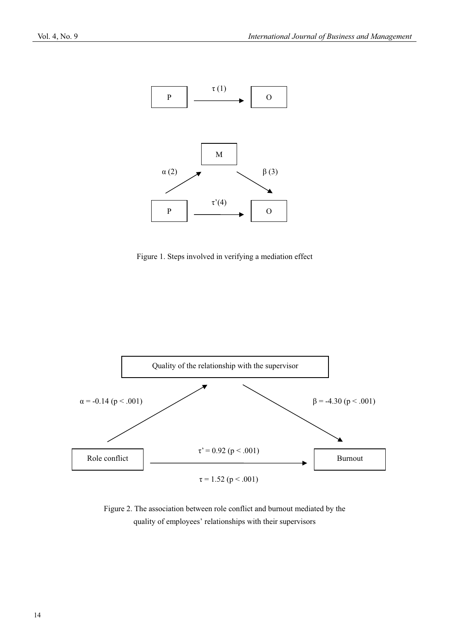

Figure 1. Steps involved in verifying a mediation effect



Figure 2. The association between role conflict and burnout mediated by the quality of employees' relationships with their supervisors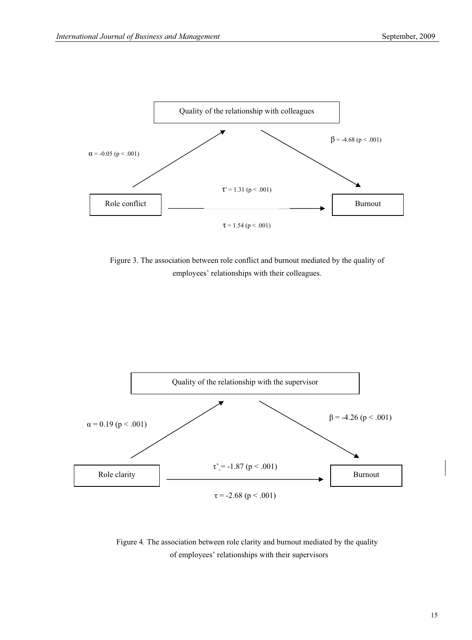

Figure 3. The association between role conflict and burnout mediated by the quality of employees' relationships with their colleagues.



Figure 4*.* The association between role clarity and burnout mediated by the quality of employees' relationships with their supervisors